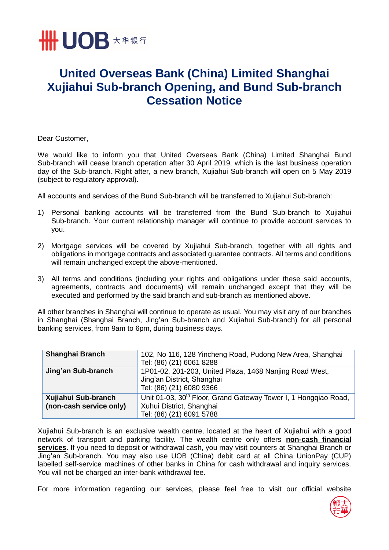

## **United Overseas Bank (China) Limited Shanghai Xujiahui Sub-branch Opening, and Bund Sub-branch Cessation Notice**

Dear Customer,

We would like to inform you that United Overseas Bank (China) Limited Shanghai Bund Sub-branch will cease branch operation after 30 April 2019, which is the last business operation day of the Sub-branch. Right after, a new branch, Xujiahui Sub-branch will open on 5 May 2019 (subject to regulatory approval).

All accounts and services of the Bund Sub-branch will be transferred to Xujiahui Sub-branch:

- 1) Personal banking accounts will be transferred from the Bund Sub-branch to Xujiahui Sub-branch. Your current relationship manager will continue to provide account services to you.
- 2) Mortgage services will be covered by Xujiahui Sub-branch, together with all rights and obligations in mortgage contracts and associated guarantee contracts. All terms and conditions will remain unchanged except the above-mentioned.
- 3) All terms and conditions (including your rights and obligations under these said accounts, agreements, contracts and documents) will remain unchanged except that they will be executed and performed by the said branch and sub-branch as mentioned above.

All other branches in Shanghai will continue to operate as usual. You may visit any of our branches in Shanghai (Shanghai Branch, Jing'an Sub-branch and Xujiahui Sub-branch) for all personal banking services, from 9am to 6pm, during business days.

| Shanghai Branch                                | 102, No 116, 128 Yincheng Road, Pudong New Area, Shanghai<br>Tel: (86) (21) 6061 8288                                               |
|------------------------------------------------|-------------------------------------------------------------------------------------------------------------------------------------|
| Jing'an Sub-branch                             | 1P01-02, 201-203, United Plaza, 1468 Nanjing Road West,<br>Jing'an District, Shanghai<br>Tel: (86) (21) 6080 9366                   |
| Xujiahui Sub-branch<br>(non-cash service only) | Unit 01-03, 30 <sup>th</sup> Floor, Grand Gateway Tower I, 1 Hongqiao Road,<br>Xuhui District, Shanghai<br>Tel: (86) (21) 6091 5788 |

Xujiahui Sub-branch is an exclusive wealth centre, located at the heart of Xujiahui with a good network of transport and parking facility. The wealth centre only offers **non-cash financial services**. If you need to deposit or withdrawal cash, you may visit counters at Shanghai Branch or Jing'an Sub-branch. You may also use UOB (China) debit card at all China UnionPay (CUP) labelled self-service machines of other banks in China for cash withdrawal and inquiry services. You will not be charged an inter-bank withdrawal fee.

For more information regarding our services, please feel free to visit our official website